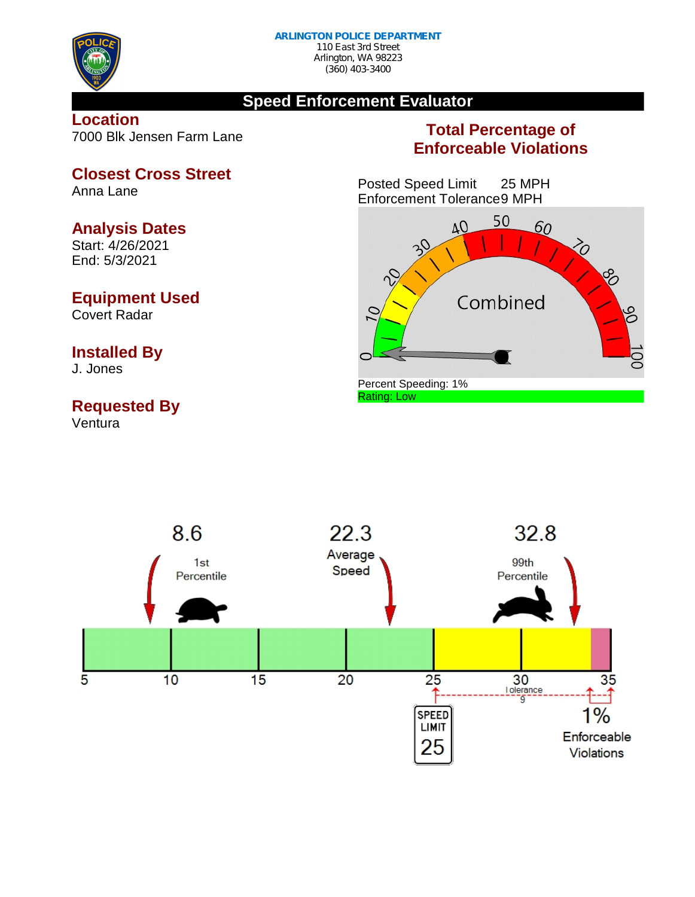

(360) 403-3400

# **Speed Enforcement Evaluator**

### **Location** 7000 Blk Jensen Farm Lane

# **Total Percentage of Enforceable Violations**

Posted Speed Limit 25 MPH Enforcement Tolerance9 MPH





#### **Closest Cross Street** Anna Lane

# **Analysis Dates**

Start: 4/26/2021 End: 5/3/2021

# **Equipment Used**

Covert Radar

# **Installed By**

J. Jones

# **Requested By**

Ventura